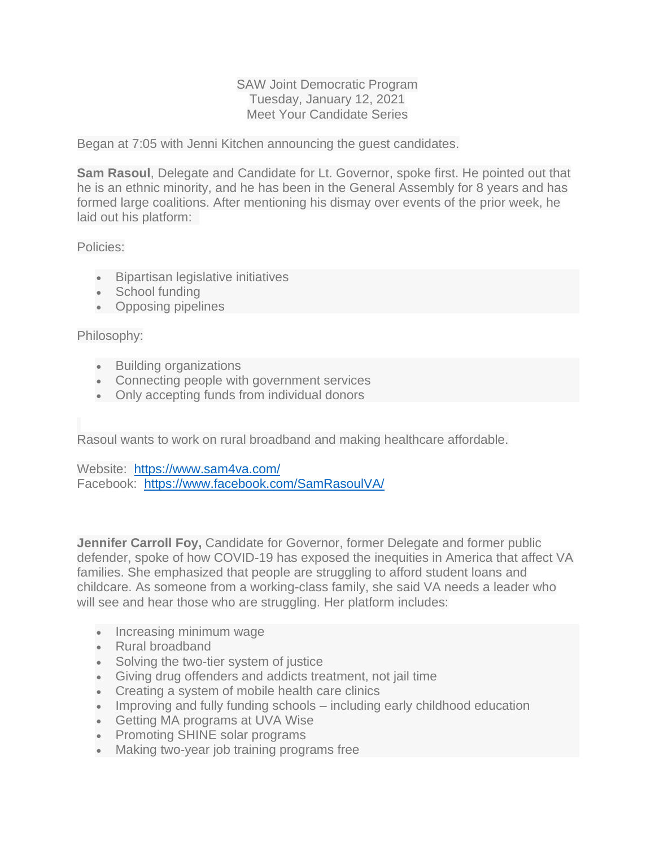## SAW Joint Democratic Program Tuesday, January 12, 2021 Meet Your Candidate Series

Began at 7:05 with Jenni Kitchen announcing the guest candidates.

**Sam Rasoul**, Delegate and Candidate for Lt. Governor, spoke first. He pointed out that he is an ethnic minority, and he has been in the General Assembly for 8 years and has formed large coalitions. After mentioning his dismay over events of the prior week, he laid out his platform:

Policies:

- Bipartisan legislative initiatives
- School funding
- Opposing pipelines

## Philosophy:

- Building organizations
- Connecting people with government services
- Only accepting funds from individual donors

Rasoul wants to work on rural broadband and making healthcare affordable.

Website: <https://www.sam4va.com/> Facebook: <https://www.facebook.com/SamRasoulVA/>

**Jennifer Carroll Foy, Candidate for Governor, former Delegate and former public** defender, spoke of how COVID-19 has exposed the inequities in America that affect VA families. She emphasized that people are struggling to afford student loans and childcare. As someone from a working-class family, she said VA needs a leader who will see and hear those who are struggling. Her platform includes:

- Increasing minimum wage
- Rural broadband
- Solving the two-tier system of justice
- Giving drug offenders and addicts treatment, not jail time
- Creating a system of mobile health care clinics
- Improving and fully funding schools including early childhood education
- Getting MA programs at UVA Wise
- Promoting SHINE solar programs
- Making two-year job training programs free